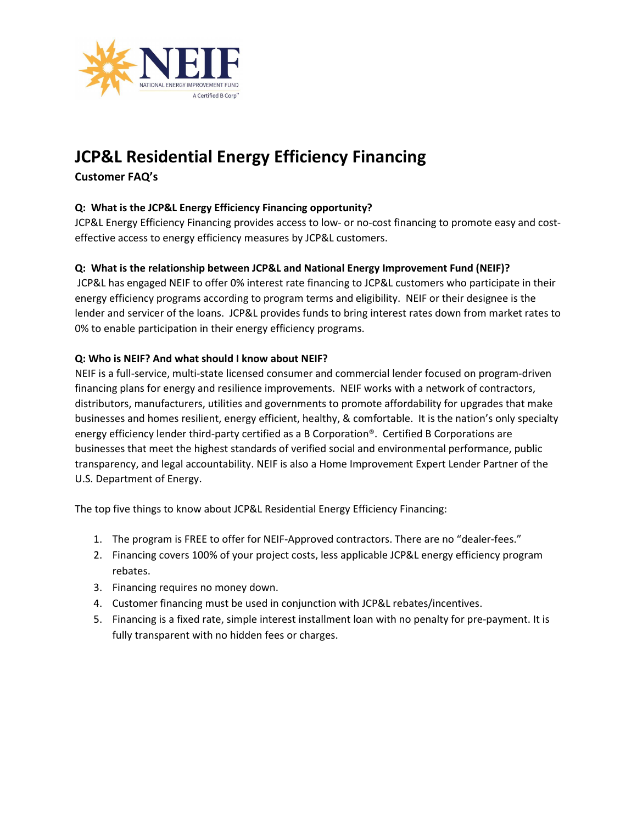

# JCP&L Residential Energy Efficiency Financing

## Customer FAQ's

## Q: What is the JCP&L Energy Efficiency Financing opportunity?

JCP&L Energy Efficiency Financing provides access to low- or no-cost financing to promote easy and costeffective access to energy efficiency measures by JCP&L customers.

## Q: What is the relationship between JCP&L and National Energy Improvement Fund (NEIF)?

JCP&L has engaged NEIF to offer 0% interest rate financing to JCP&L customers who participate in their energy efficiency programs according to program terms and eligibility. NEIF or their designee is the lender and servicer of the loans. JCP&L provides funds to bring interest rates down from market rates to 0% to enable participation in their energy efficiency programs.

## Q: Who is NEIF? And what should I know about NEIF?

NEIF is a full-service, multi-state licensed consumer and commercial lender focused on program-driven financing plans for energy and resilience improvements. NEIF works with a network of contractors, distributors, manufacturers, utilities and governments to promote affordability for upgrades that make businesses and homes resilient, energy efficient, healthy, & comfortable. It is the nation's only specialty energy efficiency lender third-party certified as a B Corporation®. Certified B Corporations are businesses that meet the highest standards of verified social and environmental performance, public transparency, and legal accountability. NEIF is also a Home Improvement Expert Lender Partner of the U.S. Department of Energy.

The top five things to know about JCP&L Residential Energy Efficiency Financing:

- 1. The program is FREE to offer for NEIF-Approved contractors. There are no "dealer-fees."
- 2. Financing covers 100% of your project costs, less applicable JCP&L energy efficiency program rebates.
- 3. Financing requires no money down.
- 4. Customer financing must be used in conjunction with JCP&L rebates/incentives.
- 5. Financing is a fixed rate, simple interest installment loan with no penalty for pre-payment. It is fully transparent with no hidden fees or charges.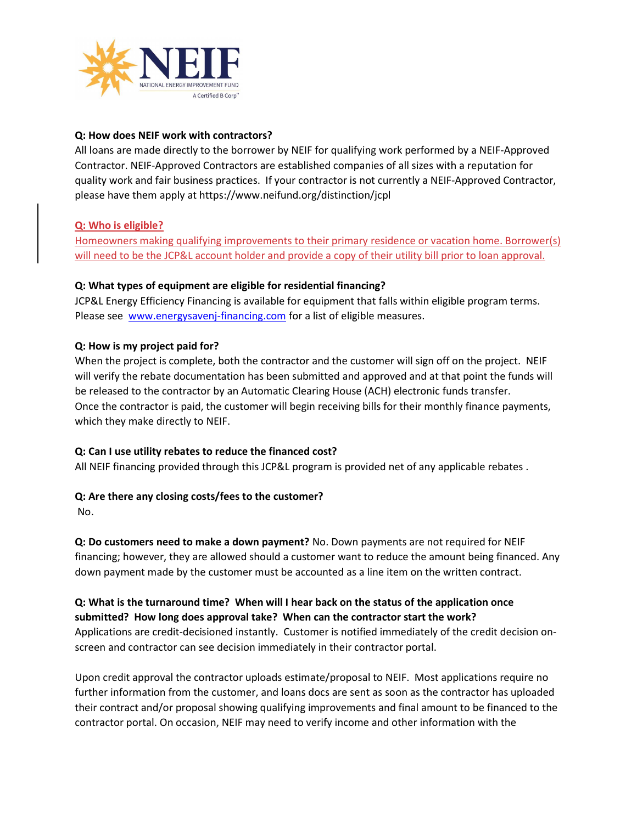

## Q: How does NEIF work with contractors?

All loans are made directly to the borrower by NEIF for qualifying work performed by a NEIF-Approved Contractor. NEIF-Approved Contractors are established companies of all sizes with a reputation for quality work and fair business practices. If your contractor is not currently a NEIF-Approved Contractor, please have them apply at https://www.neifund.org/distinction/jcpl

## Q: Who is eligible?

Homeowners making qualifying improvements to their primary residence or vacation home. Borrower(s) will need to be the JCP&L account holder and provide a copy of their utility bill prior to loan approval.

## Q: What types of equipment are eligible for residential financing?

JCP&L Energy Efficiency Financing is available for equipment that falls within eligible program terms. Please see www.energysavenj-financing.com for a list of eligible measures.

## Q: How is my project paid for?

When the project is complete, both the contractor and the customer will sign off on the project. NEIF will verify the rebate documentation has been submitted and approved and at that point the funds will be released to the contractor by an Automatic Clearing House (ACH) electronic funds transfer. Once the contractor is paid, the customer will begin receiving bills for their monthly finance payments, which they make directly to NEIF.

## Q: Can I use utility rebates to reduce the financed cost?

All NEIF financing provided through this JCP&L program is provided net of any applicable rebates .

## Q: Are there any closing costs/fees to the customer?

No.

Q: Do customers need to make a down payment? No. Down payments are not required for NEIF financing; however, they are allowed should a customer want to reduce the amount being financed. Any down payment made by the customer must be accounted as a line item on the written contract.

## Q: What is the turnaround time? When will I hear back on the status of the application once submitted? How long does approval take? When can the contractor start the work?

Applications are credit-decisioned instantly. Customer is notified immediately of the credit decision onscreen and contractor can see decision immediately in their contractor portal.

Upon credit approval the contractor uploads estimate/proposal to NEIF. Most applications require no further information from the customer, and loans docs are sent as soon as the contractor has uploaded their contract and/or proposal showing qualifying improvements and final amount to be financed to the contractor portal. On occasion, NEIF may need to verify income and other information with the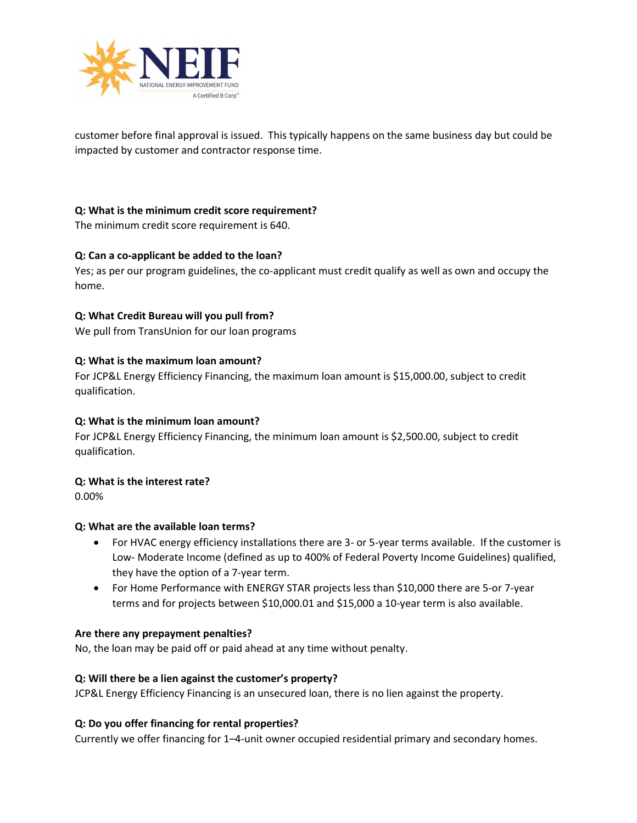

customer before final approval is issued. This typically happens on the same business day but could be impacted by customer and contractor response time.

## Q: What is the minimum credit score requirement?

The minimum credit score requirement is 640.

## Q: Can a co-applicant be added to the loan?

Yes; as per our program guidelines, the co-applicant must credit qualify as well as own and occupy the home.

#### Q: What Credit Bureau will you pull from?

We pull from TransUnion for our loan programs

#### Q: What is the maximum loan amount?

For JCP&L Energy Efficiency Financing, the maximum loan amount is \$15,000.00, subject to credit qualification.

#### Q: What is the minimum loan amount?

For JCP&L Energy Efficiency Financing, the minimum loan amount is \$2,500.00, subject to credit qualification.

#### Q: What is the interest rate?

0.00%

#### Q: What are the available loan terms?

- For HVAC energy efficiency installations there are 3- or 5-year terms available. If the customer is Low- Moderate Income (defined as up to 400% of Federal Poverty Income Guidelines) qualified, they have the option of a 7-year term.
- For Home Performance with ENERGY STAR projects less than \$10,000 there are 5-or 7-year terms and for projects between \$10,000.01 and \$15,000 a 10-year term is also available.

#### Are there any prepayment penalties?

No, the loan may be paid off or paid ahead at any time without penalty.

#### Q: Will there be a lien against the customer's property?

JCP&L Energy Efficiency Financing is an unsecured loan, there is no lien against the property.

#### Q: Do you offer financing for rental properties?

Currently we offer financing for 1–4-unit owner occupied residential primary and secondary homes.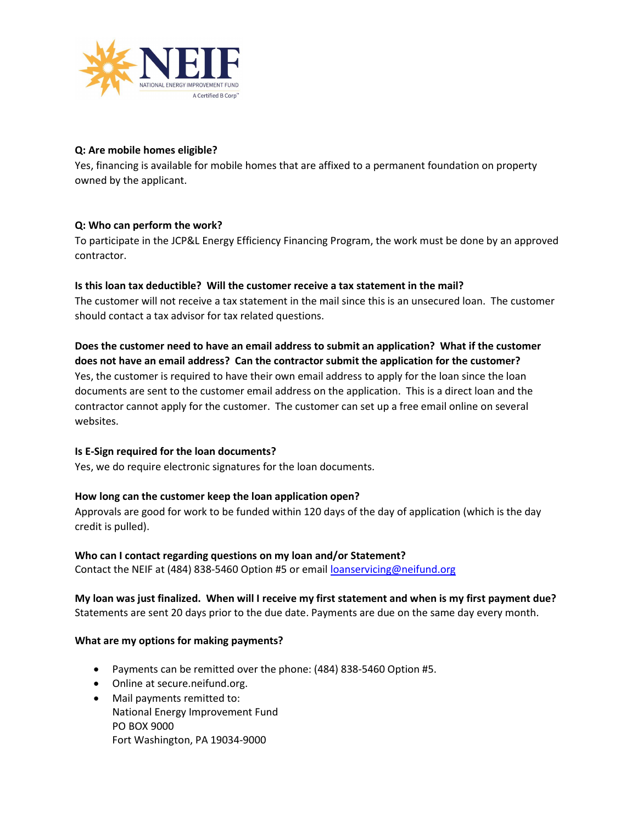

## Q: Are mobile homes eligible?

Yes, financing is available for mobile homes that are affixed to a permanent foundation on property owned by the applicant.

## Q: Who can perform the work?

To participate in the JCP&L Energy Efficiency Financing Program, the work must be done by an approved contractor.

## Is this loan tax deductible? Will the customer receive a tax statement in the mail?

The customer will not receive a tax statement in the mail since this is an unsecured loan. The customer should contact a tax advisor for tax related questions.

Does the customer need to have an email address to submit an application? What if the customer does not have an email address? Can the contractor submit the application for the customer? Yes, the customer is required to have their own email address to apply for the loan since the loan documents are sent to the customer email address on the application. This is a direct loan and the contractor cannot apply for the customer. The customer can set up a free email online on several websites.

#### Is E-Sign required for the loan documents?

Yes, we do require electronic signatures for the loan documents.

#### How long can the customer keep the loan application open?

Approvals are good for work to be funded within 120 days of the day of application (which is the day credit is pulled).

#### Who can I contact regarding questions on my loan and/or Statement?

Contact the NEIF at (484) 838-5460 Option #5 or email loanservicing@neifund.org

My loan was just finalized. When will I receive my first statement and when is my first payment due? Statements are sent 20 days prior to the due date. Payments are due on the same day every month.

#### What are my options for making payments?

- Payments can be remitted over the phone: (484) 838-5460 Option #5.
- Online at secure.neifund.org.
- Mail payments remitted to: National Energy Improvement Fund PO BOX 9000 Fort Washington, PA 19034-9000